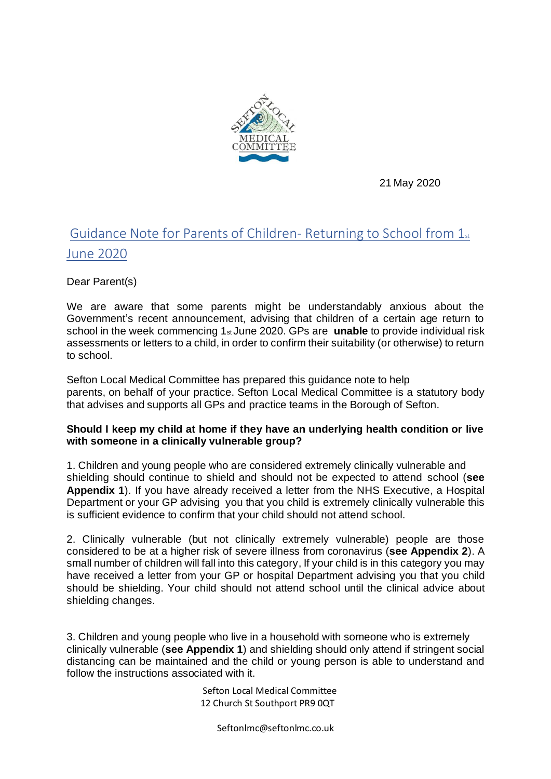

21 May 2020

# Guidance Note for Parents of Children- Returning to School from 1st June 2020

Dear Parent(s)

We are aware that some parents might be understandably anxious about the Government's recent announcement, advising that children of a certain age return to school in the week commencing 1st June 2020. GPs are **unable** to provide individual risk assessments or letters to a child, in order to confirm their suitability (or otherwise) to return to school.

Sefton Local Medical Committee has prepared this guidance note to help parents, on behalf of your practice. Sefton Local Medical Committee is a statutory body that advises and supports all GPs and practice teams in the Borough of Sefton.

#### **Should I keep my child at home if they have an underlying health condition or live with someone in a clinically vulnerable group?**

1. Children and young people who are considered extremely clinically vulnerable and shielding should continue to shield and should not be expected to attend school (**see Appendix 1**). If you have already received a letter from the NHS Executive, a Hospital Department or your GP advising you that you child is extremely clinically vulnerable this is sufficient evidence to confirm that your child should not attend school.

2. Clinically vulnerable (but not clinically extremely vulnerable) people are those considered to be at a higher risk of severe illness from coronavirus (**see Appendix 2**). A small number of children will fall into this category, If your child is in this category you may have received a letter from your GP or hospital Department advising you that you child should be shielding. Your child should not attend school until the clinical advice about shielding changes.

3. Children and young people who live in a household with someone who is extremely clinically vulnerable (**see Appendix 1**) and shielding should only attend if stringent social distancing can be maintained and the child or young person is able to understand and follow the instructions associated with it.

> Sefton Local Medical Committee 12 Church St Southport PR9 0QT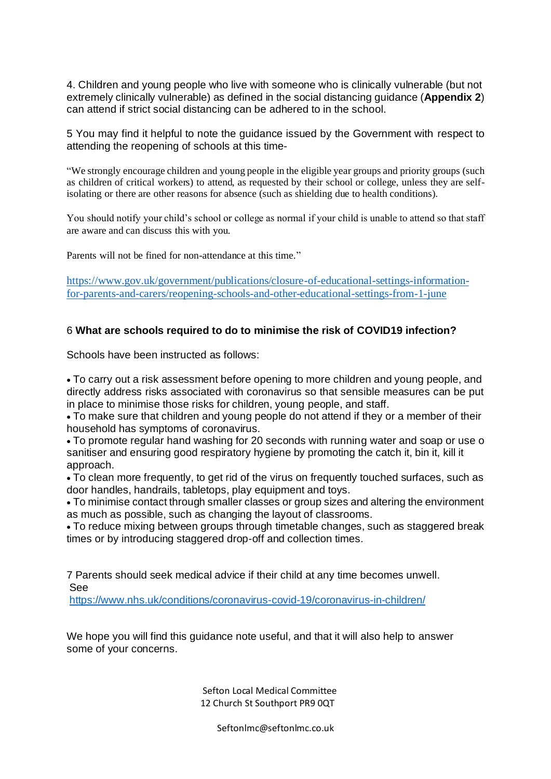4. Children and young people who live with someone who is clinically vulnerable (but not extremely clinically vulnerable) as defined in the social distancing guidance (**Appendix 2**) can attend if strict social distancing can be adhered to in the school.

5 You may find it helpful to note the guidance issued by the Government with respect to attending the reopening of schools at this time-

"We strongly encourage children and young people in the eligible year groups and priority groups (such as children of critical workers) to attend, as requested by their school or college, unless they are selfisolating or there are other reasons for absence (such as shielding due to health conditions).

You should notify your child's school or college as normal if your child is unable to attend so that staff are aware and can discuss this with you.

Parents will not be fined for non-attendance at this time."

[https://www.gov.uk/government/publications/closure-of-educational-settings-information](https://www.gov.uk/government/publications/closure-of-educational-settings-information-for-parents-and-carers/reopening-schools-and-other-educational-settings-from-1-june)[for-parents-and-carers/reopening-schools-and-other-educational-settings-from-1-june](https://www.gov.uk/government/publications/closure-of-educational-settings-information-for-parents-and-carers/reopening-schools-and-other-educational-settings-from-1-june) 

#### 6 **What are schools required to do to minimise the risk of COVID19 infection?**

Schools have been instructed as follows:

• To carry out a risk assessment before opening to more children and young people, and directly address risks associated with coronavirus so that sensible measures can be put in place to minimise those risks for children, young people, and staff.

• To make sure that children and young people do not attend if they or a member of their household has symptoms of coronavirus.

• To promote regular hand washing for 20 seconds with running water and soap or use o sanitiser and ensuring good respiratory hygiene by promoting the catch it, bin it, kill it approach.

• To clean more frequently, to get rid of the virus on frequently touched surfaces, such as door handles, handrails, tabletops, play equipment and toys.

• To minimise contact through smaller classes or group sizes and altering the environment as much as possible, such as changing the layout of classrooms.

• To reduce mixing between groups through timetable changes, such as staggered break times or by introducing staggered drop-off and collection times.

7 Parents should seek medical advice if their child at any time becomes unwell. See

<https://www.nhs.uk/conditions/coronavirus-covid-19/coronavirus-in-children/>

We hope you will find this guidance note useful, and that it will also help to answer some of your concerns.

> Sefton Local Medical Committee 12 Church St Southport PR9 0QT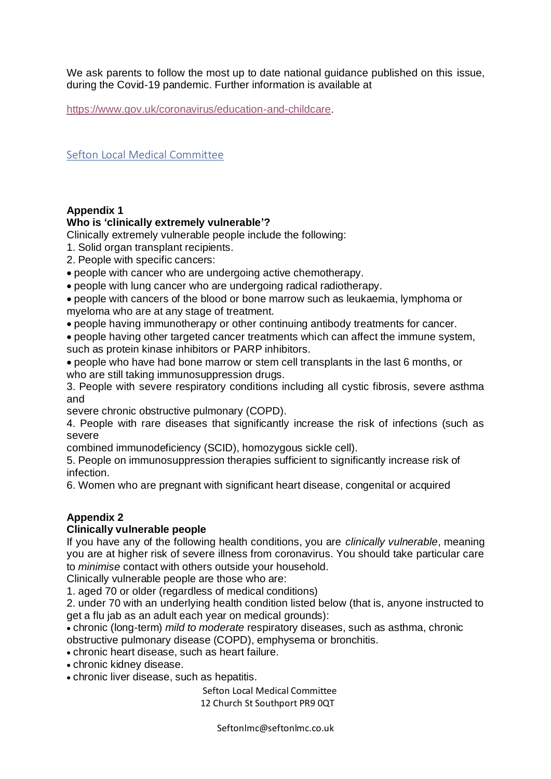We ask parents to follow the most up to date national guidance published on this issue, during the Covid-19 pandemic. Further information is available at

<https://www.gov.uk/coronavirus/education-and-childcare>.

Sefton Local Medical Committee

## **Appendix 1**

#### **Who is 'clinically extremely vulnerable'?**

Clinically extremely vulnerable people include the following:

- 1. Solid organ transplant recipients.
- 2. People with specific cancers:
- people with cancer who are undergoing active chemotherapy.
- people with lung cancer who are undergoing radical radiotherapy.
- people with cancers of the blood or bone marrow such as leukaemia, lymphoma or myeloma who are at any stage of treatment.
- people having immunotherapy or other continuing antibody treatments for cancer.
- people having other targeted cancer treatments which can affect the immune system, such as protein kinase inhibitors or PARP inhibitors.
- people who have had bone marrow or stem cell transplants in the last 6 months, or who are still taking immunosuppression drugs.

3. People with severe respiratory conditions including all cystic fibrosis, severe asthma and

severe chronic obstructive pulmonary (COPD).

4. People with rare diseases that significantly increase the risk of infections (such as severe

combined immunodeficiency (SCID), homozygous sickle cell).

5. People on immunosuppression therapies sufficient to significantly increase risk of infection.

6. Women who are pregnant with significant heart disease, congenital or acquired

## **Appendix 2**

## **Clinically vulnerable people**

If you have any of the following health conditions, you are *clinically vulnerable*, meaning you are at higher risk of severe illness from coronavirus. You should take particular care to *minimise* contact with others outside your household.

Clinically vulnerable people are those who are:

1. aged 70 or older (regardless of medical conditions)

2. under 70 with an underlying health condition listed below (that is, anyone instructed to get a flu jab as an adult each year on medical grounds):

• chronic (long-term) *mild to moderate* respiratory diseases, such as asthma, chronic obstructive pulmonary disease (COPD), emphysema or bronchitis.

- chronic heart disease, such as heart failure.
- chronic kidney disease.
- chronic liver disease, such as hepatitis.

 Sefton Local Medical Committee 12 Church St Southport PR9 0QT